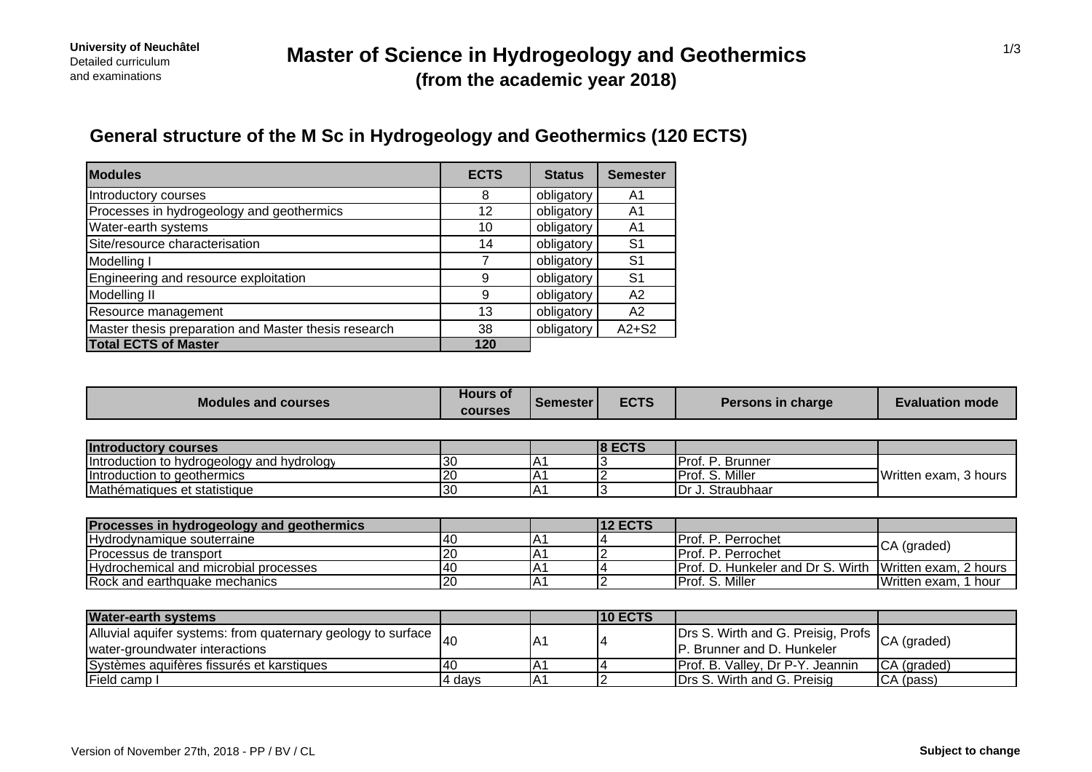## **General structure of the M Sc in Hydrogeology and Geothermics (120 ECTS)**

| <b>Modules</b>                                       | <b>ECTS</b> | <b>Status</b> | <b>Semester</b> |
|------------------------------------------------------|-------------|---------------|-----------------|
| Introductory courses                                 | 8           | obligatory    | A1              |
| Processes in hydrogeology and geothermics            | 12          | obligatory    | A <sub>1</sub>  |
| Water-earth systems                                  | 10          | obligatory    | A1              |
| Site/resource characterisation                       | 14          | obligatory    | S <sub>1</sub>  |
| Modelling I                                          |             | obligatory    | S <sub>1</sub>  |
| Engineering and resource exploitation                | 9           | obligatory    | S <sub>1</sub>  |
| Modelling II                                         | 9           | obligatory    | A2              |
| Resource management                                  | 13          | obligatory    | A <sub>2</sub>  |
| Master thesis preparation and Master thesis research | 38          | obligatory    | $A2+S2$         |
| <b>Total ECTS of Master</b>                          | 120         |               |                 |

| <b>Modules and courses</b>                 | <b>Hours of</b><br><b>courses</b> | Semester | <b>ECTS</b>    | Persons in charge  | <b>Evaluation mode</b> |
|--------------------------------------------|-----------------------------------|----------|----------------|--------------------|------------------------|
|                                            |                                   |          |                |                    |                        |
| <b>Introductory courses</b>                |                                   |          | $ 8$ ECTS      |                    |                        |
| Introduction to hydrogeology and hydrology | 30                                | IA1      |                | Prof. P. Brunner   |                        |
| Introduction to geothermics                |                                   | IA'      |                | Prof. S. Miller    | Written exam, 3 hours  |
| Mathématiques et statistique               | 30                                | A        |                | Dr J. Straubhaar   |                        |
|                                            |                                   |          |                |                    |                        |
| Processes in hydrogeology and geothermics  |                                   |          | <b>12 ECTS</b> |                    |                        |
| Hydrodynamique souterraine                 | -40                               | ΙA.      |                | Prof. P. Perrochet | CA (graded)            |
| <b>IProcessus de transport</b>             | 20                                | .A1      |                | IProf P Perrochet  |                        |

| . .<br>transport<br>I Procaccuc<br>ໝພວ ue<br>uu                | 12 <sup>c</sup> | . А | UPro∟<br>'errochet                                                                    | $\sim$<br>. .uuwu                           |
|----------------------------------------------------------------|-----------------|-----|---------------------------------------------------------------------------------------|---------------------------------------------|
| I and microbial<br>processes<br>ocher<br>mıcal<br>Hvdr         | . 4 І<br>᠇      | . д | Wirth.<br>- IPro∟<br>and<br>- Tim<br><b>Junkeler</b><br>D<br>$\overline{\phantom{a}}$ | . .<br>.Written<br>AYAM.<br>2 hours<br>exai |
| <b>IR</b> ock<br>thquake mechanics<br>∶and<br>санн<br>. . งบบก | 120             | ΡД  | Proi.<br>. Millei<br>.                                                                | Written<br>hou<br>exam                      |

| <b>Water-earth systems</b>                                                                               |        |     | <b>10 ECTS</b> |                                                                               |             |
|----------------------------------------------------------------------------------------------------------|--------|-----|----------------|-------------------------------------------------------------------------------|-------------|
| $ A $ luvial aquifer systems: from quaternary geology to surface $ A $<br>water-groundwater interactions |        | IA. |                | Drs S. Wirth and G. Preisig, Profs CA (graded)<br>IP. Brunner and D. Hunkeler |             |
| Systèmes aquifères fissurés et karstiques                                                                | 140    | IA. |                | <b>Prof. B. Valley, Dr P-Y. Jeannin</b>                                       | CA (graded) |
| Field camp I                                                                                             | 4 davs | ١A٠ |                | Drs S. Wirth and G. Preisig                                                   | CA (pass)   |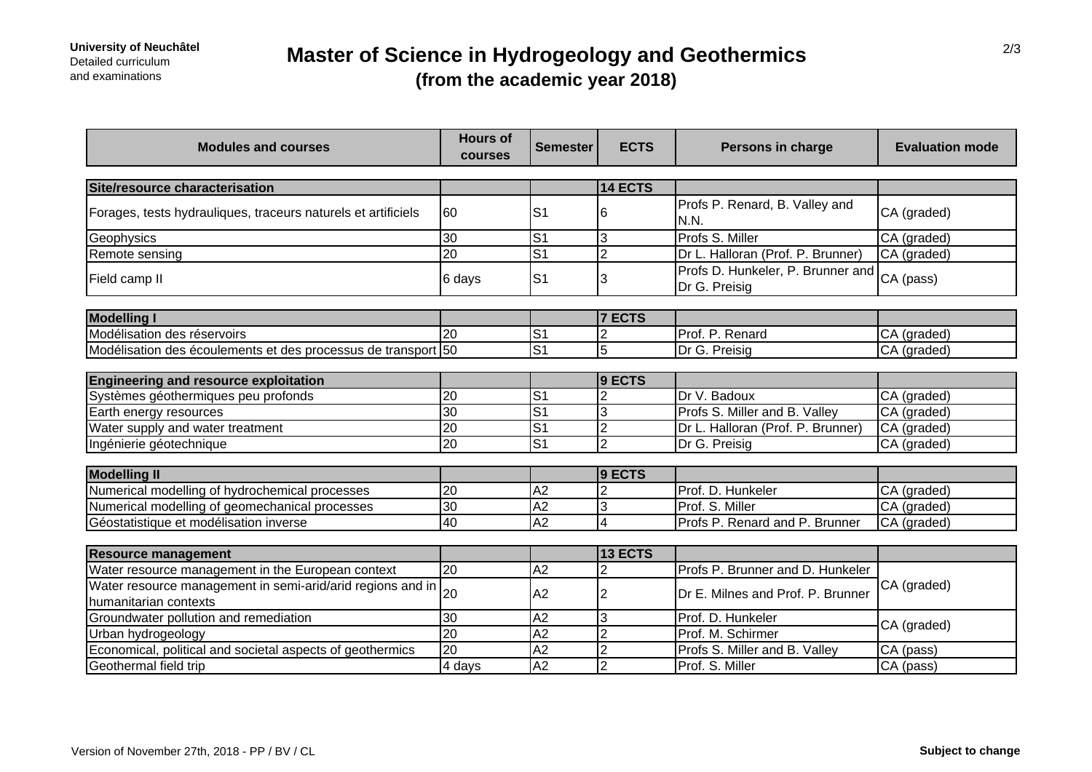# **Master of Science in Hydrogeology and Geothermics (from the academic year 2018)**

| <b>Modules and courses</b>                                                          | <b>Hours of</b><br>courses | <b>Semester</b> | <b>ECTS</b>    | Persons in charge                                  | <b>Evaluation mode</b> |
|-------------------------------------------------------------------------------------|----------------------------|-----------------|----------------|----------------------------------------------------|------------------------|
|                                                                                     |                            |                 |                |                                                    |                        |
| Site/resource characterisation                                                      |                            |                 | 14 ECTS        |                                                    |                        |
| Forages, tests hydrauliques, traceurs naturels et artificiels                       | 60                         | S <sub>1</sub>  | 6              | Profs P. Renard, B. Valley and<br>N.N.             | CA (graded)            |
| Geophysics                                                                          | $\overline{30}$            | $\overline{S}$  | 3              | Profs S. Miller                                    | CA (graded)            |
| Remote sensing                                                                      | $\overline{20}$            | $\overline{S1}$ | $\overline{2}$ | Dr L. Halloran (Prof. P. Brunner)                  | CA (graded)            |
| Field camp II                                                                       | 6 days                     | S <sub>1</sub>  | 3              | Profs D. Hunkeler, P. Brunner and<br>Dr G. Preisig | CA (pass)              |
|                                                                                     |                            |                 |                |                                                    |                        |
| <b>Modelling I</b>                                                                  |                            |                 | <b>7 ECTS</b>  |                                                    |                        |
| Modélisation des réservoirs                                                         | 20                         | S <sub>1</sub>  |                | Prof. P. Renard                                    | CA (graded)            |
| Modélisation des écoulements et des processus de transport 50                       |                            | $\overline{S}$  | 5              | Dr G. Preisig                                      | CA (graded)            |
|                                                                                     |                            |                 |                |                                                    |                        |
| <b>Engineering and resource exploitation</b>                                        |                            |                 | 9 ECTS         |                                                    |                        |
| Systèmes géothermiques peu profonds                                                 | 20                         | S <sub>1</sub>  | 2              | Dr V. Badoux                                       | CA (graded)            |
| Earth energy resources                                                              | $\overline{30}$            | $\overline{S1}$ | 3              | Profs S. Miller and B. Valley                      | CA (graded)            |
| Water supply and water treatment                                                    | $\overline{20}$            | $\overline{S}$  | $\overline{2}$ | Dr L. Halloran (Prof. P. Brunner)                  | CA (graded)            |
| Ingénierie géotechnique                                                             | $\overline{20}$            | $\overline{c}$  | $\overline{2}$ | Dr G. Preisig                                      | CA (graded)            |
|                                                                                     |                            |                 |                |                                                    |                        |
| <b>Modelling II</b>                                                                 |                            |                 | 9 ECTS         |                                                    |                        |
| Numerical modelling of hydrochemical processes                                      | 20                         | A2              | $\overline{2}$ | Prof. D. Hunkeler                                  | CA (graded)            |
| Numerical modelling of geomechanical processes                                      | 30                         | A2              | 3              | Prof. S. Miller                                    | CA (graded)            |
| Géostatistique et modélisation inverse                                              | 40                         | $\overline{A2}$ | 4              | Profs P. Renard and P. Brunner                     | CA (graded)            |
|                                                                                     |                            |                 |                |                                                    |                        |
| <b>Resource management</b>                                                          |                            |                 | 13 ECTS        |                                                    |                        |
| Water resource management in the European context                                   | $\overline{20}$            | A <sub>2</sub>  |                | Profs P. Brunner and D. Hunkeler                   |                        |
| Water resource management in semi-arid/arid regions and in<br>humanitarian contexts | 20                         | A2              | 2              | Dr E. Milnes and Prof. P. Brunner                  | CA (graded)            |
| Groundwater pollution and remediation                                               | 30                         | A2              | 3              | Prof. D. Hunkeler                                  |                        |
| Urban hydrogeology                                                                  | $\overline{20}$            | A2              | $\overline{2}$ | Prof. M. Schirmer                                  | CA (graded)            |
| Economical, political and societal aspects of geothermics                           | 20                         | A2              | $\overline{2}$ | Profs S. Miller and B. Valley                      | CA (pass)              |
| Geothermal field trip                                                               | 4 days                     | A <sub>2</sub>  | $\overline{2}$ | Prof. S. Miller                                    | CA (pass)              |